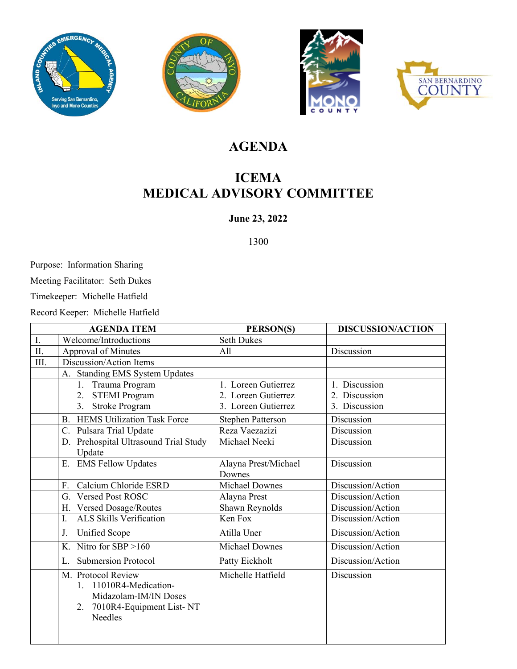







## **AGENDA**

## **ICEMA MEDICAL ADVISORY COMMITTEE**

#### **June 23, 2022**

1300

Purpose: Information Sharing

Meeting Facilitator: Seth Dukes

Timekeeper: Michelle Hatfield

Record Keeper: Michelle Hatfield

| <b>AGENDA ITEM</b> |                                                                                                                            | PERSON(S)                      | <b>DISCUSSION/ACTION</b> |  |
|--------------------|----------------------------------------------------------------------------------------------------------------------------|--------------------------------|--------------------------|--|
| I.                 | Welcome/Introductions                                                                                                      | <b>Seth Dukes</b>              |                          |  |
| II.                | Approval of Minutes                                                                                                        | All                            | Discussion               |  |
| III.               | Discussion/Action Items                                                                                                    |                                |                          |  |
|                    | A. Standing EMS System Updates                                                                                             |                                |                          |  |
|                    | Trauma Program<br>1.                                                                                                       | 1. Loreen Gutierrez            | 1. Discussion            |  |
|                    | 2. STEMI Program                                                                                                           | 2. Loreen Gutierrez            | 2. Discussion            |  |
|                    | Stroke Program<br>3.                                                                                                       | 3. Loreen Gutierrez            | 3. Discussion            |  |
|                    | <b>B.</b> HEMS Utilization Task Force                                                                                      | <b>Stephen Patterson</b>       | Discussion               |  |
|                    | Pulsara Trial Update<br>C.                                                                                                 | Reza Vaezazizi                 | Discussion               |  |
|                    | D. Prehospital Ultrasound Trial Study<br>Update                                                                            | Michael Neeki                  | Discussion               |  |
|                    | E. EMS Fellow Updates                                                                                                      | Alayna Prest/Michael<br>Downes | Discussion               |  |
|                    | Calcium Chloride ESRD<br>F.                                                                                                | <b>Michael Downes</b>          | Discussion/Action        |  |
|                    | G. Versed Post ROSC                                                                                                        | Alayna Prest                   | Discussion/Action        |  |
|                    | H. Versed Dosage/Routes                                                                                                    | Shawn Reynolds                 | Discussion/Action        |  |
|                    | ALS Skills Verification<br>I.                                                                                              | Ken Fox                        | Discussion/Action        |  |
|                    | J.<br>Unified Scope                                                                                                        | Atilla Uner                    | Discussion/Action        |  |
|                    | K. Nitro for SBP $>160$                                                                                                    | <b>Michael Downes</b>          | Discussion/Action        |  |
|                    | <b>Submersion Protocol</b><br>L.                                                                                           | Patty Eickholt                 | Discussion/Action        |  |
|                    | M. Protocol Review<br>11010R4-Medication-<br>$1_{-}$<br>Midazolam-IM/IN Doses<br>7010R4-Equipment List-NT<br>2.<br>Needles | Michelle Hatfield              | Discussion               |  |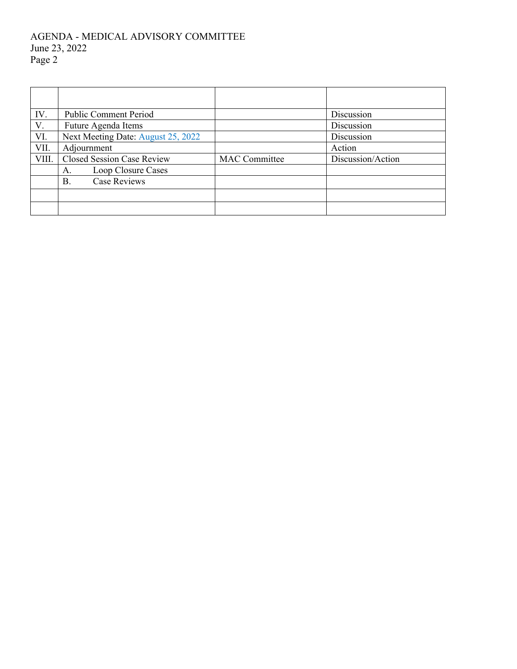#### AGENDA - MEDICAL ADVISORY COMMITTEE June 23, 2022 Page 2

| IV.   | <b>Public Comment Period</b>       |                      | Discussion        |  |
|-------|------------------------------------|----------------------|-------------------|--|
| V.    | Future Agenda Items                |                      | Discussion        |  |
| VI.   | Next Meeting Date: August 25, 2022 |                      | Discussion        |  |
| VII.  | Adjournment                        |                      | Action            |  |
| VIII. | <b>Closed Session Case Review</b>  | <b>MAC</b> Committee | Discussion/Action |  |
|       | Loop Closure Cases<br>А.           |                      |                   |  |
|       | <b>Case Reviews</b><br>В.          |                      |                   |  |
|       |                                    |                      |                   |  |
|       |                                    |                      |                   |  |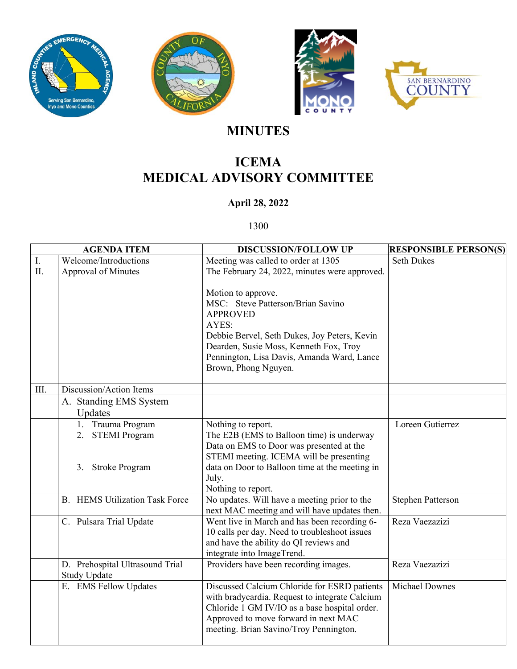







# **MINUTES**

# **ICEMA MEDICAL ADVISORY COMMITTEE**

### **April 28, 2022**

1300

| <b>AGENDA ITEM</b> |                                                            | <b>DISCUSSION/FOLLOW UP</b>                                                                                                                                                                                                                                                                          | <b>RESPONSIBLE PERSON(S)</b> |
|--------------------|------------------------------------------------------------|------------------------------------------------------------------------------------------------------------------------------------------------------------------------------------------------------------------------------------------------------------------------------------------------------|------------------------------|
| I.                 | Welcome/Introductions                                      | Meeting was called to order at 1305                                                                                                                                                                                                                                                                  | <b>Seth Dukes</b>            |
| II.                | <b>Approval of Minutes</b>                                 | The February 24, 2022, minutes were approved.<br>Motion to approve.<br>MSC: Steve Patterson/Brian Savino<br><b>APPROVED</b><br>AYES:<br>Debbie Bervel, Seth Dukes, Joy Peters, Kevin<br>Dearden, Susie Moss, Kenneth Fox, Troy<br>Pennington, Lisa Davis, Amanda Ward, Lance<br>Brown, Phong Nguyen. |                              |
| III.               | Discussion/Action Items                                    |                                                                                                                                                                                                                                                                                                      |                              |
|                    | A. Standing EMS System<br>Updates                          |                                                                                                                                                                                                                                                                                                      |                              |
|                    | 1. Trauma Program<br>2. STEMI Program<br>3. Stroke Program | Nothing to report.<br>The E2B (EMS to Balloon time) is underway<br>Data on EMS to Door was presented at the<br>STEMI meeting. ICEMA will be presenting<br>data on Door to Balloon time at the meeting in<br>July.<br>Nothing to report.                                                              | Loreen Gutierrez             |
|                    | <b>B.</b> HEMS Utilization Task Force                      | No updates. Will have a meeting prior to the<br>next MAC meeting and will have updates then.                                                                                                                                                                                                         | <b>Stephen Patterson</b>     |
|                    | C. Pulsara Trial Update                                    | Went live in March and has been recording 6-<br>10 calls per day. Need to troubleshoot issues<br>and have the ability do QI reviews and<br>integrate into ImageTrend.                                                                                                                                | Reza Vaezazizi               |
|                    | D. Prehospital Ultrasound Trial<br><b>Study Update</b>     | Providers have been recording images.                                                                                                                                                                                                                                                                | Reza Vaezazizi               |
|                    | E. EMS Fellow Updates                                      | Discussed Calcium Chloride for ESRD patients<br>with bradycardia. Request to integrate Calcium<br>Chloride 1 GM IV/IO as a base hospital order.<br>Approved to move forward in next MAC<br>meeting. Brian Savino/Troy Pennington.                                                                    | <b>Michael Downes</b>        |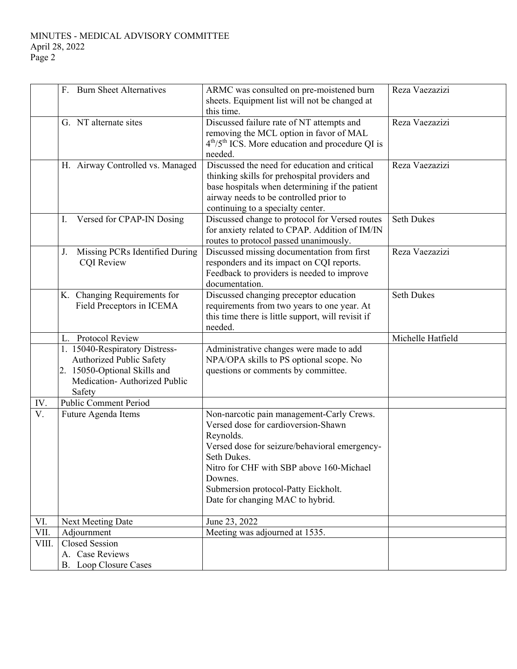|       | F. Burn Sheet Alternatives           | ARMC was consulted on pre-moistened burn                                                         | Reza Vaezazizi    |
|-------|--------------------------------------|--------------------------------------------------------------------------------------------------|-------------------|
|       |                                      | sheets. Equipment list will not be changed at                                                    |                   |
|       |                                      | this time.                                                                                       |                   |
|       | G. NT alternate sites                | Discussed failure rate of NT attempts and                                                        | Reza Vaezazizi    |
|       |                                      | removing the MCL option in favor of MAL                                                          |                   |
|       |                                      | 4 <sup>th</sup> /5 <sup>th</sup> ICS. More education and procedure QI is                         |                   |
|       |                                      | needed.                                                                                          |                   |
|       | H. Airway Controlled vs. Managed     | Discussed the need for education and critical                                                    | Reza Vaezazizi    |
|       |                                      | thinking skills for prehospital providers and                                                    |                   |
|       |                                      | base hospitals when determining if the patient                                                   |                   |
|       |                                      | airway needs to be controlled prior to                                                           |                   |
|       |                                      | continuing to a specialty center.                                                                | <b>Seth Dukes</b> |
|       | Versed for CPAP-IN Dosing<br>Ι.      | Discussed change to protocol for Versed routes<br>for anxiety related to CPAP. Addition of IM/IN |                   |
|       |                                      |                                                                                                  |                   |
|       | Missing PCRs Identified During<br>J. | routes to protocol passed unanimously.<br>Discussed missing documentation from first             | Reza Vaezazizi    |
|       | <b>COI</b> Review                    | responders and its impact on CQI reports.                                                        |                   |
|       |                                      | Feedback to providers is needed to improve                                                       |                   |
|       |                                      | documentation.                                                                                   |                   |
|       | K. Changing Requirements for         | Discussed changing preceptor education                                                           | <b>Seth Dukes</b> |
|       | Field Preceptors in ICEMA            | requirements from two years to one year. At                                                      |                   |
|       |                                      | this time there is little support, will revisit if                                               |                   |
|       |                                      | needed.                                                                                          |                   |
|       | L. Protocol Review                   |                                                                                                  | Michelle Hatfield |
|       | 1. 15040-Respiratory Distress-       | Administrative changes were made to add                                                          |                   |
|       | Authorized Public Safety             | NPA/OPA skills to PS optional scope. No                                                          |                   |
|       | 2. 15050-Optional Skills and         | questions or comments by committee.                                                              |                   |
|       | Medication-Authorized Public         |                                                                                                  |                   |
|       | Safety                               |                                                                                                  |                   |
| IV.   | <b>Public Comment Period</b>         |                                                                                                  |                   |
| V.    | Future Agenda Items                  | Non-narcotic pain management-Carly Crews.                                                        |                   |
|       |                                      | Versed dose for cardioversion-Shawn                                                              |                   |
|       |                                      | Reynolds.                                                                                        |                   |
|       |                                      | Versed dose for seizure/behavioral emergency-                                                    |                   |
|       |                                      | Seth Dukes.                                                                                      |                   |
|       |                                      | Nitro for CHF with SBP above 160-Michael                                                         |                   |
|       |                                      | Downes.                                                                                          |                   |
|       |                                      | Submersion protocol-Patty Eickholt.                                                              |                   |
|       |                                      | Date for changing MAC to hybrid.                                                                 |                   |
| VI.   | Next Meeting Date                    | June 23, 2022                                                                                    |                   |
| VII.  | Adjournment                          | Meeting was adjourned at 1535.                                                                   |                   |
| VIII. | <b>Closed Session</b>                |                                                                                                  |                   |
|       | A. Case Reviews                      |                                                                                                  |                   |
|       | B. Loop Closure Cases                |                                                                                                  |                   |
|       |                                      |                                                                                                  |                   |